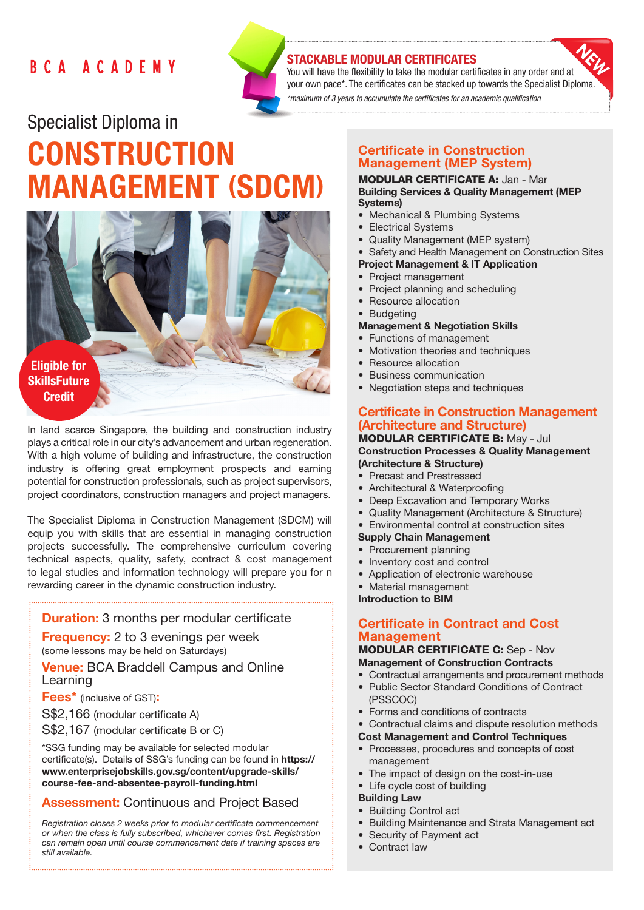# BCA ACADEMY



# STACKABLE MODULAR CERTIFICATES

You will have the flexibility to take the modular certificates in any order and at your own pace\*. The certificates can be stacked up towards the Specialist Diploma. *\*maximum of 3 years to accumulate the certificates for an academic qualification* 

# Specialist Diploma in **CONSTRUCTION** MANAGEMENT (SDCM)



In land scarce Singapore, the building and construction industry plays a critical role in our city's advancement and urban regeneration. With a high volume of building and infrastructure, the construction industry is offering great employment prospects and earning potential for construction professionals, such as project supervisors, project coordinators, construction managers and project managers.

The Specialist Diploma in Construction Management (SDCM) will equip you with skills that are essential in managing construction projects successfully. The comprehensive curriculum covering technical aspects, quality, safety, contract & cost management to legal studies and information technology will prepare you for n rewarding career in the dynamic construction industry.

**Duration:** 3 months per modular certificate

**Frequency:** 2 to 3 evenings per week (some lessons may be held on Saturdays)

Venue: BCA Braddell Campus and Online Learning

Fees\* (inclusive of GST):

S\$2,166 (modular certificate A)

S\$2,167 (modular certificate B or C)

\*SSG funding may be available for selected modular certificate(s). Details of SSG's funding can be found in https:// www.enterprisejobskills.gov.sg/content/upgrade-skills/ course-fee-and-absentee-payroll-funding.html

# Assessment: Continuous and Project Based

*Registration closes 2 weeks prior to modular certificate commencement or when the class is fully subscribed, whichever comes first. Registration can remain open until course commencement date if training spaces are still available.*

# Certificate in Construction Management (MEP System)

#### MODULAR CERTIFICATE A: Jan - Mar Building Services & Quality Management (MEP Systems)

- Mechanical & Plumbing Systems
- Electrical Systems
- Quality Management (MEP system)
- Safety and Health Management on Construction Sites
- Project Management & IT Application
- Project management
- Project planning and scheduling
- Resource allocation
- Budgeting

# Management & Negotiation Skills

- Functions of management
- Motivation theories and techniques
- Resource allocation
- Business communication
- Negotiation steps and techniques

# Certificate in Construction Management (Architecture and Structure)

#### MODULAR CERTIFICATE B: May - Jul Construction Processes & Quality Management (Architecture & Structure)

- Precast and Prestressed
- Architectural & Waterproofing
- Deep Excavation and Temporary Works
- Quality Management (Architecture & Structure)
- Environmental control at construction sites
- Supply Chain Management

# • Procurement planning

- Inventory cost and control
- Application of electronic warehouse
- Material management

Introduction to BIM

# Certificate in Contract and Cost **Management**

## MODULAR CERTIFICATE C: Sep - Nov Management of Construction Contracts

- Contractual arrangements and procurement methods
- Public Sector Standard Conditions of Contract (PSSCOC)
- Forms and conditions of contracts
- Contractual claims and dispute resolution methods
- Cost Management and Control Techniques
- Processes, procedures and concepts of cost management
- The impact of design on the cost-in-use
- Life cycle cost of building

#### Building Law

- Building Control act
- Building Maintenance and Strata Management act
- Security of Payment act
- Contract law